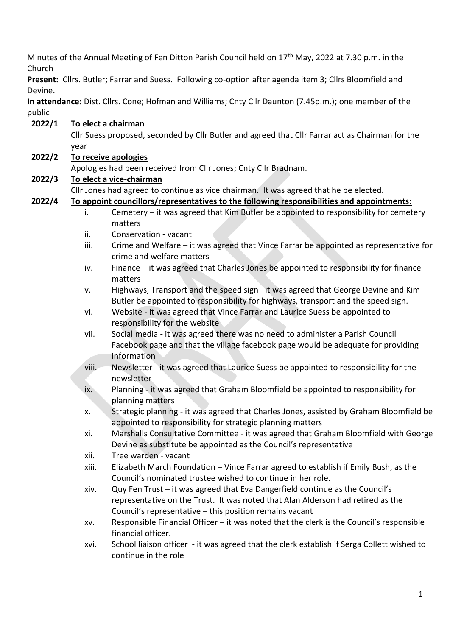Minutes of the Annual Meeting of Fen Ditton Parish Council held on 17<sup>th</sup> May, 2022 at 7.30 p.m. in the Church

**Present:** Cllrs. Butler; Farrar and Suess. Following co-option after agenda item 3; Cllrs Bloomfield and Devine.

**In attendance:** Dist. Cllrs. Cone; Hofman and Williams; Cnty Cllr Daunton (7.45p.m.); one member of the public

**2022/1 To elect a chairman** Cllr Suess proposed, seconded by Cllr Butler and agreed that Cllr Farrar act as Chairman for the year **2022/2 To receive apologies** Apologies had been received from Cllr Jones; Cnty Cllr Bradnam. **2022/3 To elect a vice-chairman** Cllr Jones had agreed to continue as vice chairman. It was agreed that he be elected. **2022/4 To appoint councillors/representatives to the following responsibilities and appointments:** i. Cemetery – it was agreed that Kim Butler be appointed to responsibility for cemetery matters ii. Conservation - vacant iii. Crime and Welfare – it was agreed that Vince Farrar be appointed as representative for crime and welfare matters iv. Finance – it was agreed that Charles Jones be appointed to responsibility for finance matters v. Highways, Transport and the speed sign– it was agreed that George Devine and Kim Butler be appointed to responsibility for highways, transport and the speed sign. vi. Website - it was agreed that Vince Farrar and Laurice Suess be appointed to responsibility for the website vii. Social media - it was agreed there was no need to administer a Parish Council Facebook page and that the village facebook page would be adequate for providing information viii. Newsletter - it was agreed that Laurice Suess be appointed to responsibility for the newsletter ix. Planning - it was agreed that Graham Bloomfield be appointed to responsibility for planning matters x. Strategic planning - it was agreed that Charles Jones, assisted by Graham Bloomfield be appointed to responsibility for strategic planning matters xi. Marshalls Consultative Committee - it was agreed that Graham Bloomfield with George Devine as substitute be appointed as the Council's representative xii. Tree warden - vacant xiii. Elizabeth March Foundation – Vince Farrar agreed to establish if Emily Bush, as the Council's nominated trustee wished to continue in her role. xiv. Quy Fen Trust – it was agreed that Eva Dangerfield continue as the Council's representative on the Trust. It was noted that Alan Alderson had retired as the Council's representative – this position remains vacant xv. Responsible Financial Officer – it was noted that the clerk is the Council's responsible financial officer. xvi. School liaison officer - it was agreed that the clerk establish if Serga Collett wished to continue in the role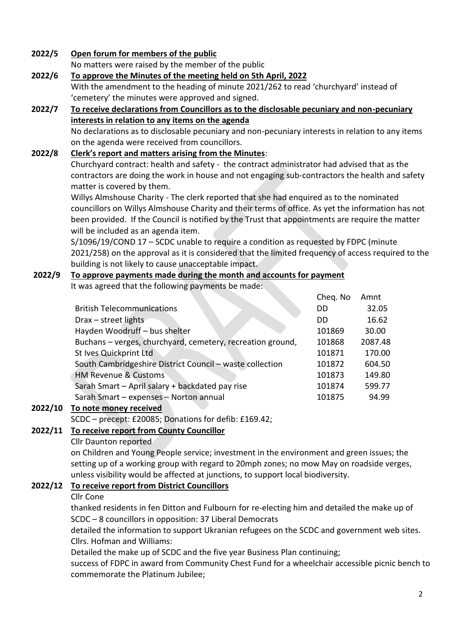#### **2022/5 Open forum for members of the public**

No matters were raised by the member of the public

- **2022/6 To approve the Minutes of the meeting held on 5th April, 2022** With the amendment to the heading of minute 2021/262 to read 'churchyard' instead of 'cemetery' the minutes were approved and signed.
- **2022/7 To receive declarations from Councillors as to the disclosable pecuniary and non-pecuniary interests in relation to any items on the agenda** No declarations as to disclosable pecuniary and non-pecuniary interests in relation to any items on the agenda were received from councillors.

#### **2022/8 Clerk's report and matters arising from the Minutes**:

Churchyard contract: health and safety - the contract administrator had advised that as the contractors are doing the work in house and not engaging sub-contractors the health and safety matter is covered by them.

Willys Almshouse Charity - The clerk reported that she had enquired as to the nominated councillors on Willys Almshouse Charity and their terms of office. As yet the information has not been provided. If the Council is notified by the Trust that appointments are require the matter will be included as an agenda item.

S/1096/19/COND 17 – SCDC unable to require a condition as requested by FDPC (minute 2021/258) on the approval as it is considered that the limited frequency of access required to the building is not likely to cause unacceptable impact.

# **2022/9 To approve payments made during the month and accounts for payment**

It was agreed that the following payments be made: Cheq. No Amnt British Telecommunications DD 32.05 Drax – street lights DD 16.62 Hayden Woodruff – bus shelter 101869 30.00 Buchans – verges, churchyard, cemetery, recreation ground, 101868 2087.48 St Ives Quickprint Ltd 101871 170.00 South Cambridgeshire District Council – waste collection 101872 604.50 HM Revenue & Customs 101873 149.80 Sarah Smart – April salary + backdated pay rise 101874 599.77 Sarah Smart – expenses – Norton annual 101875 94.99

### **2022/10 To note money received**

SCDC – precept: £20085; Donations for defib: £169.42;

### **2022/11 To receive report from County Councillor**

#### Cllr Daunton reported

on Children and Young People service; investment in the environment and green issues; the setting up of a working group with regard to 20mph zones; no mow May on roadside verges, unless visibility would be affected at junctions, to support local biodiversity.

### **2022/12 To receive report from District Councillors**

#### Cllr Cone

thanked residents in fen Ditton and Fulbourn for re-electing him and detailed the make up of SCDC – 8 councillors in opposition: 37 Liberal Democrats

detailed the information to support Ukranian refugees on the SCDC and government web sites. Cllrs. Hofman and Williams:

Detailed the make up of SCDC and the five year Business Plan continuing;

success of FDPC in award from Community Chest Fund for a wheelchair accessible picnic bench to commemorate the Platinum Jubilee;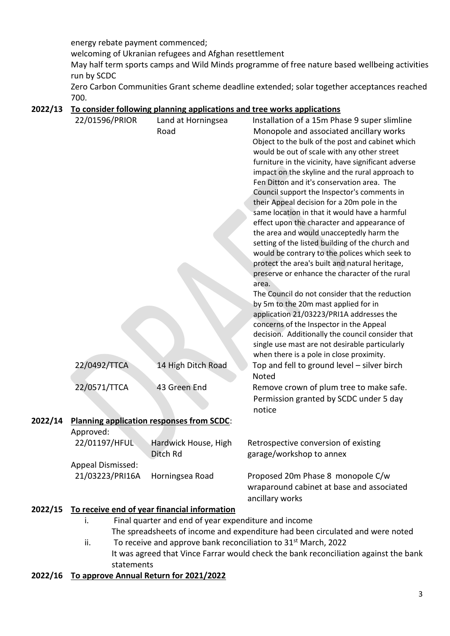energy rebate payment commenced;

welcoming of Ukranian refugees and Afghan resettlement

May half term sports camps and Wild Minds programme of free nature based wellbeing activities run by SCDC

Zero Carbon Communities Grant scheme deadline extended; solar together acceptances reached 700.

### **2022/13 To consider following planning applications and tree works applications**

|         | 22/01596/PRIOR                                                                | Land at Horningsea                                   | Installation of a 15m Phase 9 super slimline                                                |  |
|---------|-------------------------------------------------------------------------------|------------------------------------------------------|---------------------------------------------------------------------------------------------|--|
|         |                                                                               | Road                                                 | Monopole and associated ancillary works                                                     |  |
|         |                                                                               |                                                      | Object to the bulk of the post and cabinet which                                            |  |
|         |                                                                               |                                                      | would be out of scale with any other street                                                 |  |
|         |                                                                               |                                                      | furniture in the vicinity, have significant adverse                                         |  |
|         |                                                                               |                                                      | impact on the skyline and the rural approach to                                             |  |
|         |                                                                               |                                                      | Fen Ditton and it's conservation area. The                                                  |  |
|         |                                                                               |                                                      | Council support the Inspector's comments in                                                 |  |
|         |                                                                               |                                                      | their Appeal decision for a 20m pole in the                                                 |  |
|         |                                                                               |                                                      | same location in that it would have a harmful                                               |  |
|         |                                                                               |                                                      | effect upon the character and appearance of                                                 |  |
|         |                                                                               |                                                      | the area and would unacceptedly harm the                                                    |  |
|         |                                                                               |                                                      | setting of the listed building of the church and                                            |  |
|         |                                                                               |                                                      | would be contrary to the polices which seek to                                              |  |
|         |                                                                               |                                                      | protect the area's built and natural heritage,                                              |  |
|         |                                                                               |                                                      | preserve or enhance the character of the rural                                              |  |
|         |                                                                               |                                                      | area.                                                                                       |  |
|         |                                                                               |                                                      | The Council do not consider that the reduction                                              |  |
|         |                                                                               |                                                      | by 5m to the 20m mast applied for in                                                        |  |
|         |                                                                               |                                                      | application 21/03223/PRI1A addresses the                                                    |  |
|         |                                                                               |                                                      | concerns of the Inspector in the Appeal<br>decision. Additionally the council consider that |  |
|         |                                                                               |                                                      | single use mast are not desirable particularly                                              |  |
|         |                                                                               |                                                      | when there is a pole in close proximity.                                                    |  |
|         | 22/0492/TTCA                                                                  | 14 High Ditch Road                                   | Top and fell to ground level - silver birch                                                 |  |
|         |                                                                               |                                                      | Noted                                                                                       |  |
|         | 22/0571/TTCA                                                                  | 43 Green End                                         | Remove crown of plum tree to make safe.                                                     |  |
|         |                                                                               |                                                      | Permission granted by SCDC under 5 day                                                      |  |
|         |                                                                               |                                                      | notice                                                                                      |  |
| 2022/14 | <b>Planning application responses from SCDC:</b>                              |                                                      |                                                                                             |  |
|         | Approved:                                                                     |                                                      |                                                                                             |  |
|         | 22/01197/HFUL                                                                 | Hardwick House, High                                 | Retrospective conversion of existing                                                        |  |
|         |                                                                               | Ditch Rd                                             | garage/workshop to annex                                                                    |  |
|         | Appeal Dismissed:                                                             |                                                      |                                                                                             |  |
|         | 21/03223/PRI16A                                                               | Horningsea Road                                      | Proposed 20m Phase 8 monopole C/w                                                           |  |
|         |                                                                               |                                                      | wraparound cabinet at base and associated                                                   |  |
|         |                                                                               |                                                      | ancillary works                                                                             |  |
| 2022/15 | To receive end of year financial information                                  |                                                      |                                                                                             |  |
|         | i.                                                                            | Final quarter and end of year expenditure and income |                                                                                             |  |
|         | The spreadsheets of income and expenditure had been circulated and were noted |                                                      |                                                                                             |  |

ii. To receive and approve bank reconciliation to  $31<sup>st</sup>$  March, 2022 It was agreed that Vince Farrar would check the bank reconciliation against the bank statements

## **2022/16 To approve Annual Return for 2021/2022**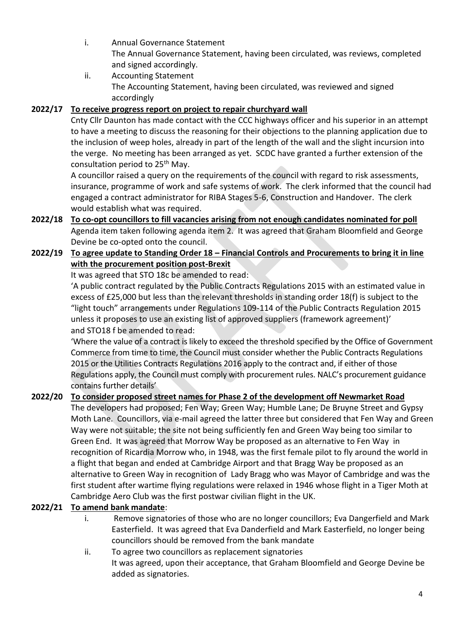- i. Annual Governance Statement The Annual Governance Statement, having been circulated, was reviews, completed and signed accordingly.
- ii. Accounting Statement The Accounting Statement, having been circulated, was reviewed and signed accordingly

## **2022/17 To receive progress report on project to repair churchyard wall**

Cnty Cllr Daunton has made contact with the CCC highways officer and his superior in an attempt to have a meeting to discuss the reasoning for their objections to the planning application due to the inclusion of weep holes, already in part of the length of the wall and the slight incursion into the verge. No meeting has been arranged as yet. SCDC have granted a further extension of the consultation period to 25<sup>th</sup> May.

A councillor raised a query on the requirements of the council with regard to risk assessments, insurance, programme of work and safe systems of work. The clerk informed that the council had engaged a contract administrator for RIBA Stages 5-6, Construction and Handover. The clerk would establish what was required.

**2022/18 To co-opt councillors to fill vacancies arising from not enough candidates nominated for poll** Agenda item taken following agenda item 2. It was agreed that Graham Bloomfield and George Devine be co-opted onto the council.

## **2022/19 To agree update to Standing Order 18 – Financial Controls and Procurements to bring it in line with the procurement position post-Brexit**

It was agreed that STO 18c be amended to read:

'A public contract regulated by the Public Contracts Regulations 2015 with an estimated value in excess of £25,000 but less than the relevant thresholds in standing order 18(f) is subject to the "light touch" arrangements under Regulations 109-114 of the Public Contracts Regulation 2015 unless it proposes to use an existing list of approved suppliers (framework agreement)' and STO18 f be amended to read:

'Where the value of a contract is likely to exceed the threshold specified by the Office of Government Commerce from time to time, the Council must consider whether the Public Contracts Regulations 2015 or the Utilities Contracts Regulations 2016 apply to the contract and, if either of those Regulations apply, the Council must comply with procurement rules. NALC's procurement guidance contains further details'

## **2022/20 To consider proposed street names for Phase 2 of the development off Newmarket Road**

The developers had proposed; Fen Way; Green Way; Humble Lane; De Bruyne Street and Gypsy Moth Lane. Councillors, via e-mail agreed the latter three but considered that Fen Way and Green Way were not suitable; the site not being sufficiently fen and Green Way being too similar to Green End. It was agreed that Morrow Way be proposed as an alternative to Fen Way in recognition of Ricardia Morrow who, in 1948, was the first female pilot to fly around the world in a flight that began and ended at Cambridge Airport and that Bragg Way be proposed as an alternative to Green Way in recognition of Lady Bragg who was Mayor of Cambridge and was the first student after wartime flying regulations were relaxed in 1946 whose flight in a Tiger Moth at Cambridge Aero Club was the first postwar civilian flight in the UK.

## **2022/21 To amend bank mandate**:

- i. Remove signatories of those who are no longer councillors; Eva Dangerfield and Mark Easterfield. It was agreed that Eva Danderfield and Mark Easterfield, no longer being councillors should be removed from the bank mandate
- ii. To agree two councillors as replacement signatories It was agreed, upon their acceptance, that Graham Bloomfield and George Devine be added as signatories.